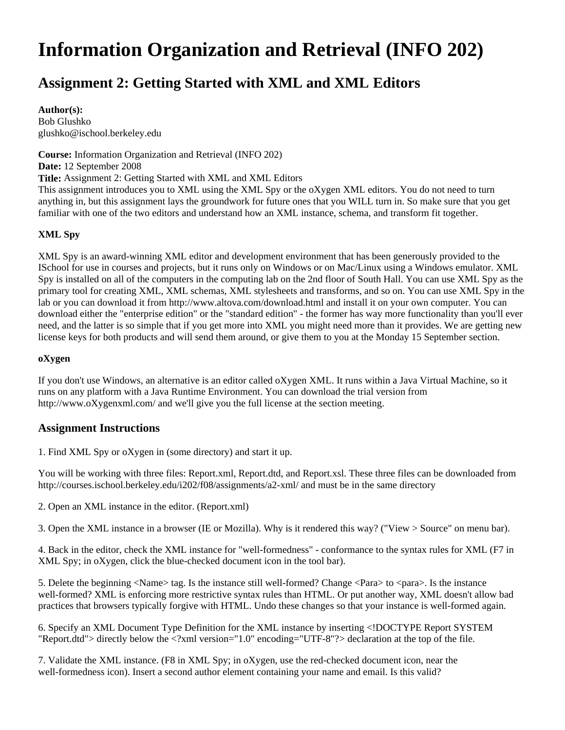# **Information Organization and Retrieval (INFO 202)**

## **Assignment 2: Getting Started with XML and XML Editors**

#### **Author(s):**

Bob Glushko glushko@ischool.berkeley.edu

**Course:** Information Organization and Retrieval (INFO 202) **Date:** 12 September 2008 **Title:** Assignment 2: Getting Started with XML and XML Editors This assignment introduces you to XML using the XML Spy or the oXygen XML editors. You do not need to turn anything in, but this assignment lays the groundwork for future ones that you WILL turn in. So make sure that you get familiar with one of the two editors and understand how an XML instance, schema, and transform fit together.

#### **XML Spy**

XML Spy is an award-winning XML editor and development environment that has been generously provided to the ISchool for use in courses and projects, but it runs only on Windows or on Mac/Linux using a Windows emulator. XML Spy is installed on all of the computers in the computing lab on the 2nd floor of South Hall. You can use XML Spy as the primary tool for creating XML, XML schemas, XML stylesheets and transforms, and so on. You can use XML Spy in the lab or you can download it from http://www.altova.com/download.html and install it on your own computer. You can download either the "enterprise edition" or the "standard edition" - the former has way more functionality than you'll ever need, and the latter is so simple that if you get more into XML you might need more than it provides. We are getting new license keys for both products and will send them around, or give them to you at the Monday 15 September section.

#### **oXygen**

If you don't use Windows, an alternative is an editor called oXygen XML. It runs within a Java Virtual Machine, so it runs on any platform with a Java Runtime Environment. You can download the trial version from http://www.oXygenxml.com/ and we'll give you the full license at the section meeting.

### **Assignment Instructions**

1. Find XML Spy or oXygen in (some directory) and start it up.

You will be working with three files: Report.xml, Report.dtd, and Report.xsl. These three files can be downloaded from http://courses.ischool.berkeley.edu/i202/f08/assignments/a2-xml/ and must be in the same directory

2. Open an XML instance in the editor. (Report.xml)

3. Open the XML instance in a browser (IE or Mozilla). Why is it rendered this way? ("View > Source" on menu bar).

4. Back in the editor, check the XML instance for "well-formedness" - conformance to the syntax rules for XML (F7 in XML Spy; in oXygen, click the blue-checked document icon in the tool bar).

5. Delete the beginning <Name> tag. Is the instance still well-formed? Change <Para> to <para>. Is the instance well-formed? XML is enforcing more restrictive syntax rules than HTML. Or put another way, XML doesn't allow bad practices that browsers typically forgive with HTML. Undo these changes so that your instance is well-formed again.

6. Specify an XML Document Type Definition for the XML instance by inserting <!DOCTYPE Report SYSTEM "Report.dtd"> directly below the <?xml version="1.0" encoding="UTF-8"?> declaration at the top of the file.

7. Validate the XML instance. (F8 in XML Spy; in oXygen, use the red-checked document icon, near the well-formedness icon). Insert a second author element containing your name and email. Is this valid?